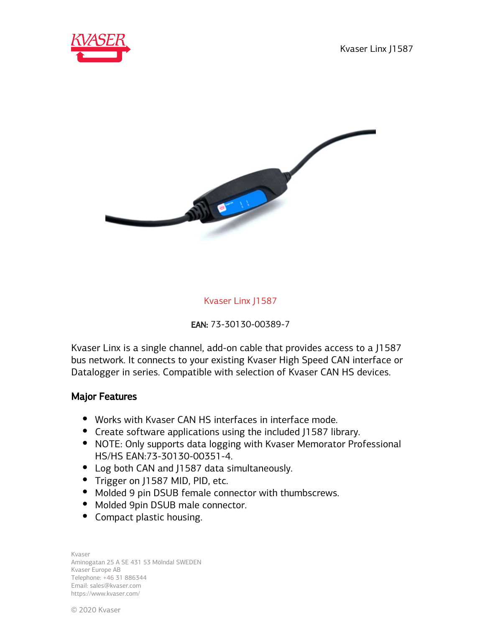



Kvaser Linx J1587

EAN: 73-30130-00389-7

Kvaser Linx is a single channel, add-on cable that provides access to a J1587 bus network. It connects to your existing Kvaser High Speed CAN interface or Datalogger in series. Compatible with selection of Kvaser CAN HS devices.

## Major Features

- Works with Kvaser CAN HS interfaces in interface mode.
- Create software applications using the included J1587 library.
- NOTE: Only supports data logging with Kvaser Memorator Professional HS/HS EAN:73-30130-00351-4.
- Log both CAN and J1587 data simultaneously.
- Trigger on J1587 MID, PID, etc.
- Molded 9 pin DSUB female connector with thumbscrews.
- Molded 9pin DSUB male connector.
- Compact plastic housing.

Kvaser Aminogatan 25 A SE 431 53 Mölndal SWEDEN Kvaser Europe AB Telephone: +46 31 886344 Email: sales@kvaser.com https://www.kvaser.com/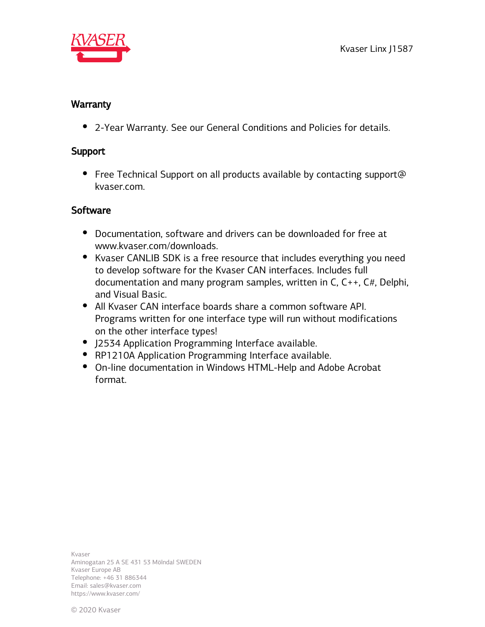

## **Warranty**

2-Year Warranty. See our General Conditions and Policies for details.

## Support

• Free Technical Support on all products available by contacting support@ kvaser.com.

## **Software**

- Documentation, software and drivers can be downloaded for free at www.kvaser.com/downloads.
- Kvaser CANLIB SDK is a free resource that includes everything you need to develop software for the Kvaser CAN interfaces. Includes full documentation and many program samples, written in C, C++, C#, Delphi, and Visual Basic.
- All Kvaser CAN interface boards share a common software API. Programs written for one interface type will run without modifications on the other interface types!
- J2534 Application Programming Interface available.
- RP1210A Application Programming Interface available.
- On-line documentation in Windows HTML-Help and Adobe Acrobat format.

Kvaser Aminogatan 25 A SE 431 53 Mölndal SWEDEN Kvaser Europe AB Telephone: +46 31 886344 Email: sales@kvaser.com https://www.kvaser.com/

© 2020 Kvaser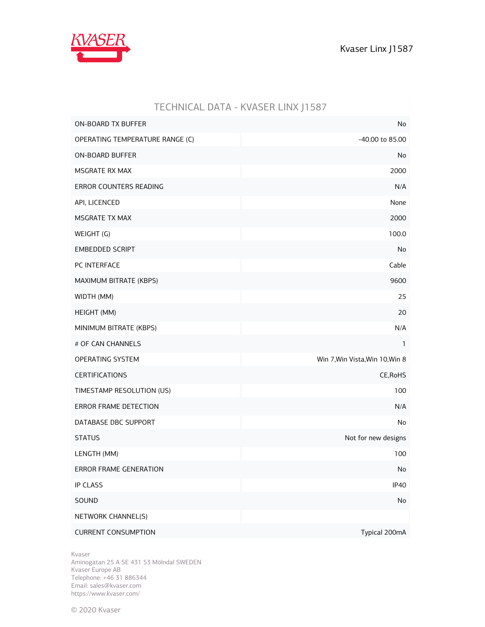

|                                 | TECHNICAL DATA - KVASER LINX J1587 |
|---------------------------------|------------------------------------|
| <b>ON-BOARD TX BUFFER</b>       | No                                 |
| OPERATING TEMPERATURE RANGE (C) | -40.00 to 85.00                    |
| <b>ON-BOARD BUFFER</b>          | No                                 |
| MSGRATE RX MAX                  | 2000                               |
| ERROR COUNTERS READING          | N/A                                |
| API, LICENCED                   | None                               |
| <b>MSGRATE TX MAX</b>           | 2000                               |
| WEIGHT (G)                      | 100.0                              |
| <b>EMBEDDED SCRIPT</b>          | No                                 |
| PC INTERFACE                    | Cable                              |
| MAXIMUM BITRATE (KBPS)          | 9600                               |
| WIDTH (MM)                      | 25                                 |
| HEIGHT (MM)                     | 20                                 |
| MINIMUM BITRATE (KBPS)          | N/A                                |
| # OF CAN CHANNELS               | 1                                  |
| OPERATING SYSTEM                | Win 7, Win Vista, Win 10, Win 8    |
| <b>CERTIFICATIONS</b>           | CE, RoHS                           |
| TIMESTAMP RESOLUTION (US)       | 100                                |
| ERROR FRAME DETECTION           | N/A                                |
| DATABASE DBC SUPPORT            | No                                 |
| <b>STATUS</b>                   | Not for new designs                |
| LENGTH (MM)                     | 100                                |
| <b>ERROR FRAME GENERATION</b>   | No                                 |
| <b>IP CLASS</b>                 | <b>IP40</b>                        |
| SOUND                           | No                                 |
| NETWORK CHANNEL(S)              |                                    |
| <b>CURRENT CONSUMPTION</b>      | Typical 200mA                      |

Kvaser

Aminogatan 25 A SE 431 53 Mölndal SWEDEN Kvaser Europe AB Telephone: +46 31 886344 Email: sales@kvaser.com https://www.kvaser.com/

© 2020 Kvaser